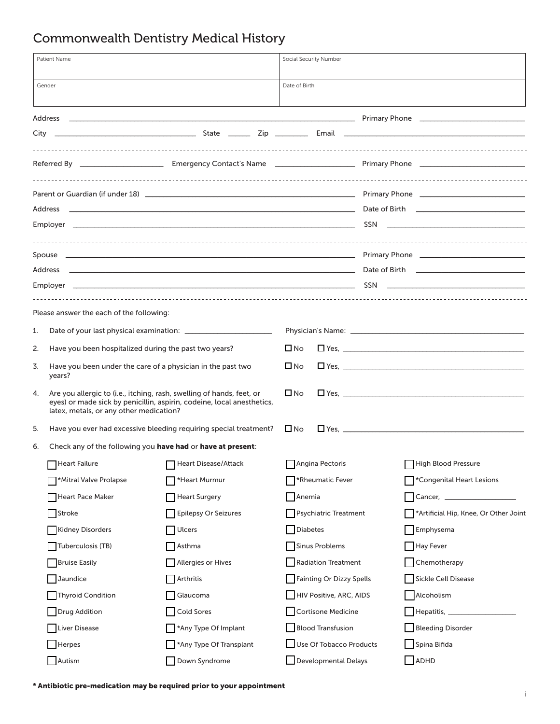## Commonwealth Dentistry Medical History

| Patient Name                                                      |                                                                       | Social Security Number                                                                                                                          |                                    |  |                                                                                                                                                                                                                                |
|-------------------------------------------------------------------|-----------------------------------------------------------------------|-------------------------------------------------------------------------------------------------------------------------------------------------|------------------------------------|--|--------------------------------------------------------------------------------------------------------------------------------------------------------------------------------------------------------------------------------|
|                                                                   | Gender                                                                |                                                                                                                                                 | Date of Birth                      |  |                                                                                                                                                                                                                                |
|                                                                   |                                                                       |                                                                                                                                                 |                                    |  |                                                                                                                                                                                                                                |
|                                                                   |                                                                       |                                                                                                                                                 |                                    |  |                                                                                                                                                                                                                                |
|                                                                   |                                                                       |                                                                                                                                                 |                                    |  |                                                                                                                                                                                                                                |
|                                                                   |                                                                       |                                                                                                                                                 |                                    |  | Parent or Guardian (if under 18) [10] Decision (1991 - 1992) [20] Primary Phone [20] Primary Phone [20] Decision (if under 18) [20] Decision (1992) [20] Decision (1993) [20] Decision (1993) [20] Decision (1993) [20] Decisi |
|                                                                   |                                                                       |                                                                                                                                                 |                                    |  |                                                                                                                                                                                                                                |
|                                                                   |                                                                       |                                                                                                                                                 |                                    |  |                                                                                                                                                                                                                                |
|                                                                   |                                                                       |                                                                                                                                                 |                                    |  |                                                                                                                                                                                                                                |
|                                                                   |                                                                       |                                                                                                                                                 |                                    |  |                                                                                                                                                                                                                                |
|                                                                   |                                                                       |                                                                                                                                                 |                                    |  |                                                                                                                                                                                                                                |
|                                                                   | Please answer the each of the following:                              |                                                                                                                                                 |                                    |  |                                                                                                                                                                                                                                |
| 1.                                                                |                                                                       |                                                                                                                                                 |                                    |  |                                                                                                                                                                                                                                |
| 2.                                                                | Have you been hospitalized during the past two years?                 |                                                                                                                                                 | $\square$ No                       |  |                                                                                                                                                                                                                                |
| 3.                                                                | Have you been under the care of a physician in the past two<br>years? |                                                                                                                                                 | $\Box$ No                          |  |                                                                                                                                                                                                                                |
| 4.                                                                | latex, metals, or any other medication?                               | Are you allergic to (i.e., itching, rash, swelling of hands, feet, or<br>eyes) or made sick by penicillin, aspirin, codeine, local anesthetics, | $\square$ No                       |  |                                                                                                                                                                                                                                |
| 5.                                                                | Have you ever had excessive bleeding requiring special treatment?     |                                                                                                                                                 | $\Box$ Yes, $\Box$<br>$\square$ No |  |                                                                                                                                                                                                                                |
| Check any of the following you have had or have at present:<br>6. |                                                                       |                                                                                                                                                 |                                    |  |                                                                                                                                                                                                                                |
|                                                                   |                                                                       | Heart Failure <b>National Properties Contains Properties</b> Heart Disease/Attack                                                               | Angina Pectoris                    |  | High Blood Pressure                                                                                                                                                                                                            |
|                                                                   | *Mitral Valve Prolapse                                                | *Heart Murmur                                                                                                                                   | *Rheumatic Fever                   |  | *Congenital Heart Lesions                                                                                                                                                                                                      |
|                                                                   | <b>Heart Pace Maker</b>                                               | <b>Heart Surgery</b>                                                                                                                            | Anemia                             |  |                                                                                                                                                                                                                                |
|                                                                   | Stroke                                                                | <b>Epilepsy Or Seizures</b>                                                                                                                     | <b>Psychiatric Treatment</b>       |  | *Artificial Hip, Knee, Or Other Joint                                                                                                                                                                                          |
|                                                                   | <b>Kidney Disorders</b>                                               | <b>Ulcers</b>                                                                                                                                   | <b>Diabetes</b>                    |  | Emphysema                                                                                                                                                                                                                      |
|                                                                   | Tuberculosis (TB)                                                     | Asthma                                                                                                                                          | <b>Sinus Problems</b>              |  | Hay Fever                                                                                                                                                                                                                      |
|                                                                   | <b>Bruise Easily</b>                                                  | Allergies or Hives                                                                                                                              | <b>Radiation Treatment</b>         |  | Chemotherapy                                                                                                                                                                                                                   |
|                                                                   | Jaundice                                                              | Arthritis                                                                                                                                       | Fainting Or Dizzy Spells           |  | <b>Sickle Cell Disease</b>                                                                                                                                                                                                     |
|                                                                   | Thyroid Condition                                                     | Glaucoma                                                                                                                                        | HIV Positive, ARC, AIDS            |  | Alcoholism                                                                                                                                                                                                                     |
|                                                                   | <b>Drug Addition</b>                                                  | <b>Cold Sores</b>                                                                                                                               | <b>Cortisone Medicine</b>          |  | Hepatitis, ___________________                                                                                                                                                                                                 |
|                                                                   | <b>Liver Disease</b>                                                  | *Any Type Of Implant                                                                                                                            | <b>Blood Transfusion</b>           |  | <b>Bleeding Disorder</b>                                                                                                                                                                                                       |
|                                                                   | Herpes                                                                | *Any Type Of Transplant                                                                                                                         | Use Of Tobacco Products            |  | Spina Bifida                                                                                                                                                                                                                   |
|                                                                   | Autism                                                                | Down Syndrome                                                                                                                                   | Developmental Delays               |  | ADHD                                                                                                                                                                                                                           |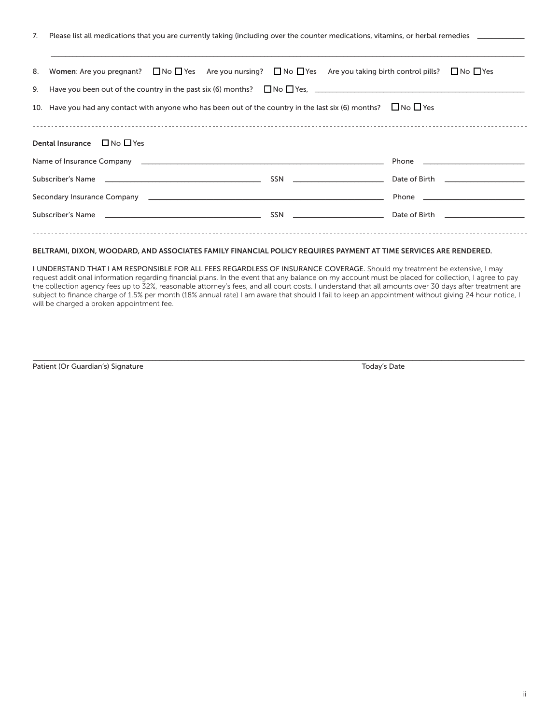7. Please list all medications that you are currently taking (including over the counter medications, vitamins, or herbal remedies \_

| 8.                                              | Women: Are you pregnant? $\Box$ No $\Box$ Yes Are you nursing? $\Box$ No $\Box$ Yes Are you taking birth control pills?                                                                                                              |                                      |  | $\Box$ No $\Box$ Yes                                                                                                                                                                                                               |  |  |
|-------------------------------------------------|--------------------------------------------------------------------------------------------------------------------------------------------------------------------------------------------------------------------------------------|--------------------------------------|--|------------------------------------------------------------------------------------------------------------------------------------------------------------------------------------------------------------------------------------|--|--|
| 9.                                              |                                                                                                                                                                                                                                      |                                      |  |                                                                                                                                                                                                                                    |  |  |
|                                                 | 10. Have you had any contact with anyone who has been out of the country in the last six (6) months? $\Box$ No $\Box$ Yes                                                                                                            |                                      |  |                                                                                                                                                                                                                                    |  |  |
|                                                 |                                                                                                                                                                                                                                      |                                      |  |                                                                                                                                                                                                                                    |  |  |
| $\Box$ No $\Box$ Yes<br><b>Dental Insurance</b> |                                                                                                                                                                                                                                      |                                      |  |                                                                                                                                                                                                                                    |  |  |
|                                                 |                                                                                                                                                                                                                                      |                                      |  | Phone <b>Phone Contract Contract Contract Contract Contract Contract Contract Contract Contract Contract Contract Contract Contract Contract Contract Contract Contract Contract Contract Contract Contract Contract Contract </b> |  |  |
|                                                 | Subscriber's Name                                                                                                                                                                                                                    | $SSN \quad \underline{\hspace{2cm}}$ |  | Date of Birth <b>Exercise 1996</b>                                                                                                                                                                                                 |  |  |
|                                                 |                                                                                                                                                                                                                                      |                                      |  | Phone <b>Phone Contract Contract Contract Contract Contract Contract Contract Contract Contract Contract Contract Contract Contract Contract Contract Contract Contract Contract Contract Contract Contract Contract Contract </b> |  |  |
|                                                 | Subscriber's Name <b>contract the contract of the contract of the contract of the contract of the contract of the contract of the contract of the contract of the contract of the contract of the contract of the contract of th</b> | $SSN \quad \underline{\hspace{2cm}}$ |  | Date of Birth <b>Exercise 2018</b>                                                                                                                                                                                                 |  |  |
|                                                 |                                                                                                                                                                                                                                      |                                      |  |                                                                                                                                                                                                                                    |  |  |

\_\_\_\_\_\_\_\_\_\_\_\_\_\_\_\_\_\_\_\_\_\_\_\_\_\_\_\_\_\_\_\_\_\_\_\_\_\_\_\_\_\_\_\_\_\_\_\_\_\_\_\_\_\_\_\_\_\_\_\_\_\_\_\_\_\_\_\_\_\_\_\_\_\_\_\_\_\_\_\_\_\_\_\_\_\_\_\_\_\_\_\_\_\_\_\_\_\_\_\_\_\_\_\_\_\_\_\_\_\_\_\_\_\_\_\_\_\_\_\_\_\_\_\_\_\_\_\_\_\_\_

## BELTRAMI, DIXON, WOODARD, AND ASSOCIATES FAMILY FINANCIAL POLICY REQUIRES PAYMENT AT TIME SERVICES ARE RENDERED.

I UNDERSTAND THAT I AM RESPONSIBLE FOR ALL FEES REGARDLESS OF INSURANCE COVERAGE. Should my treatment be extensive, I may request additional information regarding financial plans. In the event that any balance on my account must be placed for collection, I agree to pay the collection agency fees up to 32%, reasonable attorney's fees, and all court costs. I understand that all amounts over 30 days after treatment are subject to finance charge of 1.5% per month (18% annual rate) I am aware that should I fail to keep an appointment without giving 24 hour notice, I will be charged a broken appointment fee.

\_\_\_\_\_\_\_\_\_\_\_\_\_\_\_\_\_\_\_\_\_\_\_\_\_\_\_\_\_\_\_\_\_\_\_\_\_\_\_\_\_\_\_\_\_\_\_\_\_\_\_\_\_\_\_\_\_\_\_\_\_\_\_\_\_\_\_\_\_\_\_\_\_\_\_\_\_\_\_\_\_\_\_\_\_\_\_\_\_\_\_\_\_\_\_\_\_\_\_\_\_\_\_\_\_\_\_\_\_\_\_\_\_\_\_\_\_\_\_\_\_\_\_\_\_\_\_\_\_\_\_\_\_\_\_\_

Patient (Or Guardian's) Signature Today's Date Today's Date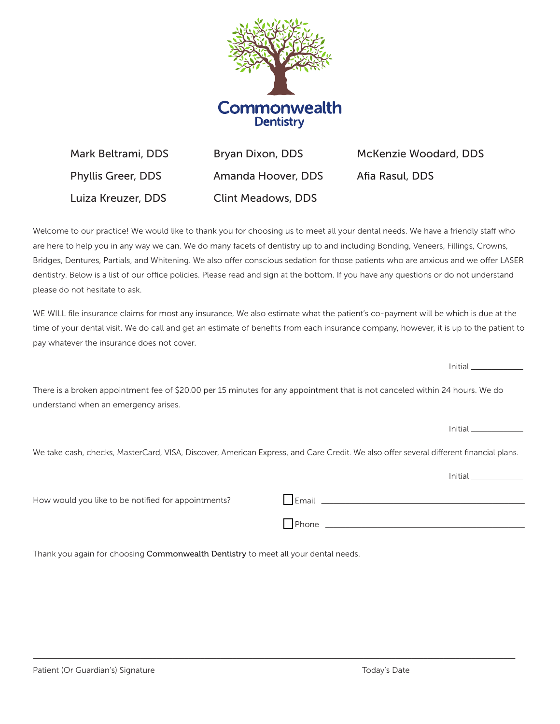

Mark Beltrami, DDS Phyllis Greer, DDS Luiza Kreuzer, DDS Bryan Dixon, DDS Amanda Hoover, DDS Clint Meadows, DDS McKenzie Woodard, DDS Afia Rasul, DDS

Welcome to our practice! We would like to thank you for choosing us to meet all your dental needs. We have a friendly staff who are here to help you in any way we can. We do many facets of dentistry up to and including Bonding, Veneers, Fillings, Crowns, Bridges, Dentures, Partials, and Whitening. We also offer conscious sedation for those patients who are anxious and we offer LASER dentistry. Below is a list of our office policies. Please read and sign at the bottom. If you have any questions or do not understand please do not hesitate to ask.

WE WILL file insurance claims for most any insurance, We also estimate what the patient's co-payment will be which is due at the time of your dental visit. We do call and get an estimate of benefits from each insurance company, however, it is up to the patient to pay whatever the insurance does not cover.

There is a broken appointment fee of \$20.00 per 15 minutes for any appointment that is not canceled within 24 hours. We do understand when an emergency arises.

We take cash, checks, MasterCard, VISA, Discover, American Express, and Care Credit. We also offer several different financial plans.

 $\_$  ,  $\_$  ,  $\_$  ,  $\_$  ,  $\_$  ,  $\_$  ,  $\_$  ,  $\_$  ,  $\_$  ,  $\_$  ,  $\_$  ,  $\_$  ,  $\_$  ,  $\_$  ,  $\_$  ,  $\_$  ,  $\_$  ,  $\_$  ,  $\_$  ,  $\_$  ,  $\_$  ,  $\_$  ,  $\_$  ,  $\_$  ,  $\_$  ,  $\_$  ,  $\_$  ,  $\_$  ,  $\_$  ,  $\_$  ,  $\_$  ,  $\_$  ,  $\_$  ,  $\_$  ,  $\_$  ,  $\_$  ,  $\_$  ,

How would you like to be notified for appointments?

| Email |  |  |
|-------|--|--|
| Phone |  |  |

Thank you again for choosing Commonwealth Dentistry to meet all your dental needs.

Initial \_\_\_\_\_\_\_\_\_\_\_\_\_

Initial \_\_\_\_\_\_\_\_\_\_\_\_\_

Initial \_\_\_\_\_\_\_\_\_\_\_\_\_